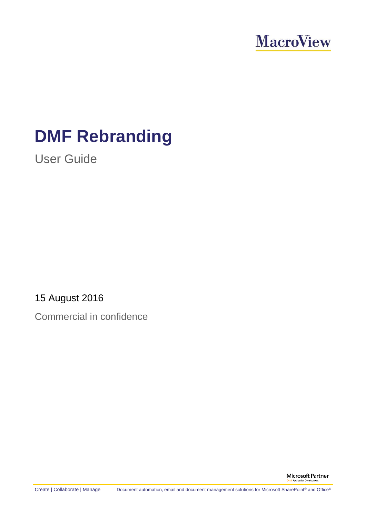

# **DMF Rebranding**

User Guide

15 August 2016

Commercial in confidence

**Microsoft Partner** .<br>Anolication De

Create | Collaborate | Manage Document automation, email and document management solutions for Microsoft SharePoint® and Office®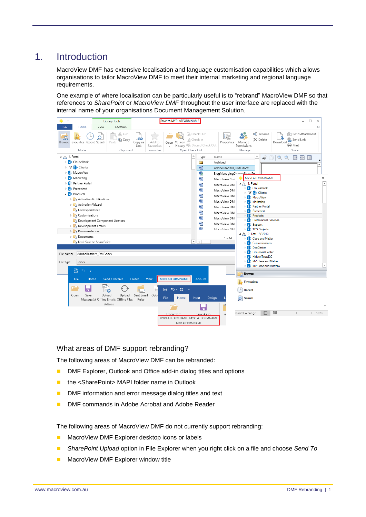## 1. Introduction

MacroView DMF has extensive localisation and language customisation capabilities which allows organisations to tailor MacroView DMF to meet their internal marketing and regional language requirements.

One example of where localisation can be particularly useful is to "rebrand" MacroView DMF so that references to *SharePoint* or *MacroView DMF* throughout the user interface are replaced with the internal name of your organisations Document Management Solution.

| Home<br>△<br>Location<br>File<br>View<br>画 Rename<br>X Cut<br><sup>h</sup> Check Out<br><sup>[①</sup> ] Send Attachment<br>黒<br>C)<br>亀<br>lin Copy<br><b>R</b> Check In<br>$\times$ Delete<br>Send Link<br>Browse Favourites Recent Search<br>Paste<br>Copy as<br>Add to<br>Properties<br>Download<br>Open Version<br>Manage<br>$\bigoplus$ Print<br>History <b>B</b> Discard Check Out<br>Permissions<br>Link<br>Favourites<br>Open Check Out<br>Mode<br>Clipboard<br>Favourites<br>Manage<br>Share<br>$\blacktriangle$ $\frac{\square}{\longrightarrow}$ 1. Portal<br>Name<br>Type<br>S ClauseBank<br>n<br>Archived<br><b>T S</b> Clients<br>画<br>AdobeReaderX_DMF.docx<br><b>B</b> MacroView<br>嚸<br>BlogManagingChangeSharoDo<br><b>SD</b> Marketing<br><b>MYPLATFORMNAME</b><br>≫<br>四<br>MacroView Cust<br><b>SD</b> Partner Portal<br>$\blacktriangleleft$ $\frac{\square}{\square_1}$ 1. Portal<br>$\Delta$<br>四<br>MacroView DM<br>S <sup>b</sup> ClauseBank<br><b>S</b> Precedent<br>凾<br>MacroView DM<br><b>T S</b> Clients<br>$\triangle$ $\overline{\text{S}}$ Products<br>四<br>MacroView DM<br><b>St</b> MacroView<br><b>D E</b> Activation Notifications<br>四<br>MacroView DM<br><b>SE</b> Marketing<br>Activation Wizard<br>Se Partner Portal<br>四<br>MacroView DM<br>Correspondence<br><b>St</b> Precedent<br>四<br>MacroView DMI |
|----------------------------------------------------------------------------------------------------------------------------------------------------------------------------------------------------------------------------------------------------------------------------------------------------------------------------------------------------------------------------------------------------------------------------------------------------------------------------------------------------------------------------------------------------------------------------------------------------------------------------------------------------------------------------------------------------------------------------------------------------------------------------------------------------------------------------------------------------------------------------------------------------------------------------------------------------------------------------------------------------------------------------------------------------------------------------------------------------------------------------------------------------------------------------------------------------------------------------------------------------------------------------------------------------------------------------------------------------|
|                                                                                                                                                                                                                                                                                                                                                                                                                                                                                                                                                                                                                                                                                                                                                                                                                                                                                                                                                                                                                                                                                                                                                                                                                                                                                                                                                    |
|                                                                                                                                                                                                                                                                                                                                                                                                                                                                                                                                                                                                                                                                                                                                                                                                                                                                                                                                                                                                                                                                                                                                                                                                                                                                                                                                                    |
|                                                                                                                                                                                                                                                                                                                                                                                                                                                                                                                                                                                                                                                                                                                                                                                                                                                                                                                                                                                                                                                                                                                                                                                                                                                                                                                                                    |
|                                                                                                                                                                                                                                                                                                                                                                                                                                                                                                                                                                                                                                                                                                                                                                                                                                                                                                                                                                                                                                                                                                                                                                                                                                                                                                                                                    |
|                                                                                                                                                                                                                                                                                                                                                                                                                                                                                                                                                                                                                                                                                                                                                                                                                                                                                                                                                                                                                                                                                                                                                                                                                                                                                                                                                    |
|                                                                                                                                                                                                                                                                                                                                                                                                                                                                                                                                                                                                                                                                                                                                                                                                                                                                                                                                                                                                                                                                                                                                                                                                                                                                                                                                                    |
|                                                                                                                                                                                                                                                                                                                                                                                                                                                                                                                                                                                                                                                                                                                                                                                                                                                                                                                                                                                                                                                                                                                                                                                                                                                                                                                                                    |
|                                                                                                                                                                                                                                                                                                                                                                                                                                                                                                                                                                                                                                                                                                                                                                                                                                                                                                                                                                                                                                                                                                                                                                                                                                                                                                                                                    |
|                                                                                                                                                                                                                                                                                                                                                                                                                                                                                                                                                                                                                                                                                                                                                                                                                                                                                                                                                                                                                                                                                                                                                                                                                                                                                                                                                    |
|                                                                                                                                                                                                                                                                                                                                                                                                                                                                                                                                                                                                                                                                                                                                                                                                                                                                                                                                                                                                                                                                                                                                                                                                                                                                                                                                                    |
|                                                                                                                                                                                                                                                                                                                                                                                                                                                                                                                                                                                                                                                                                                                                                                                                                                                                                                                                                                                                                                                                                                                                                                                                                                                                                                                                                    |
|                                                                                                                                                                                                                                                                                                                                                                                                                                                                                                                                                                                                                                                                                                                                                                                                                                                                                                                                                                                                                                                                                                                                                                                                                                                                                                                                                    |
|                                                                                                                                                                                                                                                                                                                                                                                                                                                                                                                                                                                                                                                                                                                                                                                                                                                                                                                                                                                                                                                                                                                                                                                                                                                                                                                                                    |
| <b>D</b> Customisations<br><b>B</b> Products<br>四<br>MacroView DM<br><b>SD</b> Professional Services                                                                                                                                                                                                                                                                                                                                                                                                                                                                                                                                                                                                                                                                                                                                                                                                                                                                                                                                                                                                                                                                                                                                                                                                                                               |
| Development Component Licences<br>四<br>MacroView DMI<br><b>SEX</b> Support<br>Development Emails                                                                                                                                                                                                                                                                                                                                                                                                                                                                                                                                                                                                                                                                                                                                                                                                                                                                                                                                                                                                                                                                                                                                                                                                                                                   |
| <b>wh</b><br>Maccollinus DM<br>S <sup>b</sup> TFS Projects<br>Documentation                                                                                                                                                                                                                                                                                                                                                                                                                                                                                                                                                                                                                                                                                                                                                                                                                                                                                                                                                                                                                                                                                                                                                                                                                                                                        |
| $\blacktriangle$ $\frac{\square}{\longrightarrow}$ 2. Test - SP2013<br><b>D</b> Documents                                                                                                                                                                                                                                                                                                                                                                                                                                                                                                                                                                                                                                                                                                                                                                                                                                                                                                                                                                                                                                                                                                                                                                                                                                                          |
| $1 - 44$<br>S <sup>b</sup> Case and Matter<br>$\overline{\phantom{a}}$<br>Foxit Save to SharePoint<br>$\blacktriangleleft$                                                                                                                                                                                                                                                                                                                                                                                                                                                                                                                                                                                                                                                                                                                                                                                                                                                                                                                                                                                                                                                                                                                                                                                                                         |
| <b>SD</b> Customisations<br><b>RDocCenter</b>                                                                                                                                                                                                                                                                                                                                                                                                                                                                                                                                                                                                                                                                                                                                                                                                                                                                                                                                                                                                                                                                                                                                                                                                                                                                                                      |
| S <sup>b</sup> DocumentCenter<br>AdobeReaderX_DMF.docx<br>File name:                                                                                                                                                                                                                                                                                                                                                                                                                                                                                                                                                                                                                                                                                                                                                                                                                                                                                                                                                                                                                                                                                                                                                                                                                                                                               |
| <b>SD</b> HiddenTestsDC                                                                                                                                                                                                                                                                                                                                                                                                                                                                                                                                                                                                                                                                                                                                                                                                                                                                                                                                                                                                                                                                                                                                                                                                                                                                                                                            |
| S MV Case and Matter<br>File type:<br>.docx<br>$\overline{\phantom{0}}$                                                                                                                                                                                                                                                                                                                                                                                                                                                                                                                                                                                                                                                                                                                                                                                                                                                                                                                                                                                                                                                                                                                                                                                                                                                                            |
| <b>SD</b> MV Case and MatterX<br>鸖<br>$\Rightarrow$                                                                                                                                                                                                                                                                                                                                                                                                                                                                                                                                                                                                                                                                                                                                                                                                                                                                                                                                                                                                                                                                                                                                                                                                                                                                                                |
| <b>Browse</b>                                                                                                                                                                                                                                                                                                                                                                                                                                                                                                                                                                                                                                                                                                                                                                                                                                                                                                                                                                                                                                                                                                                                                                                                                                                                                                                                      |
| <b>MYPLATFORMNAME</b><br>Send / Receive<br>Add-ins<br>File<br>Folder<br>View<br>Home<br><b>Favourites</b>                                                                                                                                                                                                                                                                                                                                                                                                                                                                                                                                                                                                                                                                                                                                                                                                                                                                                                                                                                                                                                                                                                                                                                                                                                          |
| $5 - 0 =$<br>日<br>Recent<br>$\mathbf{u}$                                                                                                                                                                                                                                                                                                                                                                                                                                                                                                                                                                                                                                                                                                                                                                                                                                                                                                                                                                                                                                                                                                                                                                                                                                                                                                           |
| Upload<br>Sent Email<br>Save<br>Upload<br>Opti<br>Open<br>$\left  \mathbf{p} \right $ Search<br>File<br>Design<br>Home<br>Insert<br>Message(s) Offline Emails Offline Files<br>Rules                                                                                                                                                                                                                                                                                                                                                                                                                                                                                                                                                                                                                                                                                                                                                                                                                                                                                                                                                                                                                                                                                                                                                               |
| Actions<br>r all                                                                                                                                                                                                                                                                                                                                                                                                                                                                                                                                                                                                                                                                                                                                                                                                                                                                                                                                                                                                                                                                                                                                                                                                                                                                                                                                   |
| $\blacksquare$                                                                                                                                                                                                                                                                                                                                                                                                                                                                                                                                                                                                                                                                                                                                                                                                                                                                                                                                                                                                                                                                                                                                                                                                                                                                                                                                     |
| 圍<br>rosoft Exchange<br>÷<br>100%<br>Open from<br>Save As to<br>Pa                                                                                                                                                                                                                                                                                                                                                                                                                                                                                                                                                                                                                                                                                                                                                                                                                                                                                                                                                                                                                                                                                                                                                                                                                                                                                 |
| MYPLATFORMNAME MYPLATFORMNAME<br>MYPLATFORMNAME                                                                                                                                                                                                                                                                                                                                                                                                                                                                                                                                                                                                                                                                                                                                                                                                                                                                                                                                                                                                                                                                                                                                                                                                                                                                                                    |

What areas of DMF support rebranding?

The following areas of MacroView DMF can be rebranded:

- **DMF Explorer, Outlook and Office add-in dialog titles and options**
- the <SharePoint> MAPI folder name in Outlook
- DMF information and error message dialog titles and text
- DMF commands in Adobe Acrobat and Adobe Reader

The following areas of MacroView DMF do not currently support rebranding:

- **MacroView DMF Explorer desktop icons or labels**
- *SharePoint Upload* option in File Explorer when you right click on a file and choose *Send To*
- **MacroView DMF Explorer window title**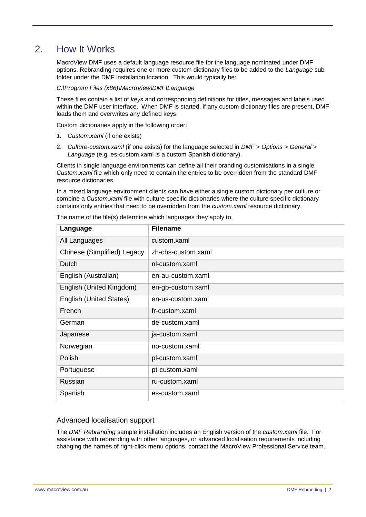## 2. How It Works

MacroView DMF uses a default language resource file for the language nominated under DMF options. Rebranding requires one or more custom dictionary files to be added to the *Language* sub folder under the DMF installation location. This would typically be:

#### *C:\Program Files (x86)\MacroView\DMF\Language*

These files contain a list of *keys* and corresponding definitions for titles, messages and labels used within the DMF user interface. When DMF is started, if any custom dictionary files are present, DMF loads them and overwrites any defined keys.

Custom dictionaries apply in the following order:

- *1. Custom.xaml* (if one exists)
- 2. *Culture-custom.xaml* (if one exists) for the language selected in *DMF > Options > General > Language* (e.g. es-custom.xaml is a custom Spanish dictionary).

Clients in single language environments can define all their branding customisations in a single *Custom.xaml* file which only need to contain the entries to be overridden from the standard DMF resource dictionaries.

In a mixed language environment clients can have either a single custom dictionary per culture or combine a *Custom.xaml* file with culture specific dictionaries where the culture specific dictionary contains only entries that need to be overridden from the *custom.xaml* resource dictionary.

| Language                       | <b>Filename</b>    |
|--------------------------------|--------------------|
| All Languages                  | custom.xaml        |
| Chinese (Simplified) Legacy    | zh-chs-custom.xaml |
| Dutch                          | nl-custom.xaml     |
| English (Australian)           | en-au-custom.xaml  |
| English (United Kingdom)       | en-gb-custom.xaml  |
| <b>English (United States)</b> | en-us-custom.xaml  |
| French                         | fr-custom.xaml     |
| German                         | de-custom.xaml     |
| Japanese                       | ja-custom.xaml     |
| Norwegian                      | no-custom.xaml     |
| Polish                         | pl-custom.xaml     |
| Portuguese                     | pt-custom.xaml     |
| Russian                        | ru-custom.xaml     |
| Spanish                        | es-custom.xaml     |

The name of the file(s) determine which languages they apply to.

### Advanced localisation support

The *DMF Rebranding* sample installation includes an English version of the *custom.xaml* file. For assistance with rebranding with other languages, or advanced localisation requirements including changing the names of right-click menu options, contact the MacroView Professional Service team.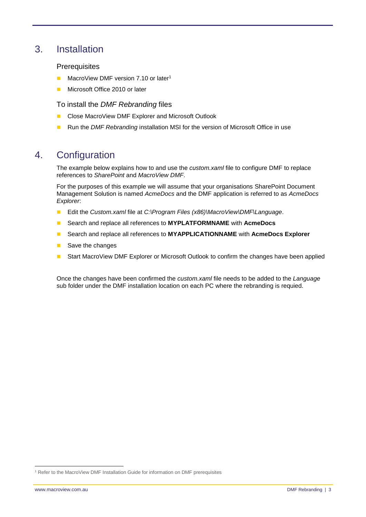## 3. Installation

### **Prerequisites**

- **MacroView DMF version 7.10 or later<sup>1</sup>**
- Microsoft Office 2010 or later

To install the *DMF Rebranding* files

- Close MacroView DMF Explorer and Microsoft Outlook
- Run the *DMF Rebranding* installation MSI for the version of Microsoft Office in use

## 4. Configuration

The example below explains how to and use the *custom.xaml* file to configure DMF to replace references to *SharePoint* and *MacroView DMF*.

For the purposes of this example we will assume that your organisations SharePoint Document Management Solution is named *AcmeDocs* and the DMF application is referred to as *AcmeDocs Explorer*:

- Edit the *Custom.xaml* file at *C:\Program Files (x86)\MacroView\DMF\Language.*
- Search and replace all references to **MYPLATFORMNAME** with **AcmeDocs**
- Search and replace all references to **MYAPPLICATIONNAME** with **AcmeDocs Explorer**
- Save the changes
- **Start MacroView DMF Explorer or Microsoft Outlook to confirm the changes have been applied**

Once the changes have been confirmed the *custom.xaml* file needs to be added to the *Language* sub folder under the DMF installation location on each PC where the rebranding is requied.

-

<sup>&</sup>lt;sup>1</sup> Refer to the MacroView DMF Installation Guide for information on DMF prerequisites